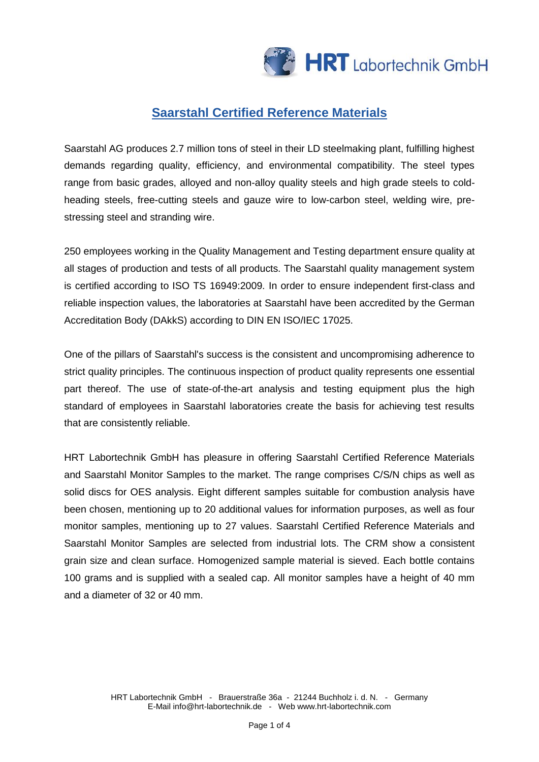

## **Saarstahl Certified Reference Materials**

Saarstahl AG produces 2.7 million tons of steel in their LD steelmaking plant, fulfilling highest demands regarding quality, efficiency, and environmental compatibility. The steel types range from basic grades, alloyed and non-alloy quality steels and high grade steels to coldheading steels, free-cutting steels and gauze wire to low-carbon steel, welding wire, prestressing steel and stranding wire.

250 employees working in the Quality Management and Testing department ensure quality at all stages of production and tests of all products. The Saarstahl quality management system is certified according to ISO TS 16949:2009. In order to ensure independent first-class and reliable inspection values, the laboratories at Saarstahl have been accredited by the German Accreditation Body (DAkkS) according to DIN EN ISO/IEC 17025.

One of the pillars of Saarstahl's success is the consistent and uncompromising adherence to strict quality principles. The continuous inspection of product quality represents one essential part thereof. The use of state-of-the-art analysis and testing equipment plus the high standard of employees in Saarstahl laboratories create the basis for achieving test results that are consistently reliable.

HRT Labortechnik GmbH has pleasure in offering Saarstahl Certified Reference Materials and Saarstahl Monitor Samples to the market. The range comprises C/S/N chips as well as solid discs for OES analysis. Eight different samples suitable for combustion analysis have been chosen, mentioning up to 20 additional values for information purposes, as well as four monitor samples, mentioning up to 27 values. Saarstahl Certified Reference Materials and Saarstahl Monitor Samples are selected from industrial lots. The CRM show a consistent grain size and clean surface. Homogenized sample material is sieved. Each bottle contains 100 grams and is supplied with a sealed cap. All monitor samples have a height of 40 mm and a diameter of 32 or 40 mm.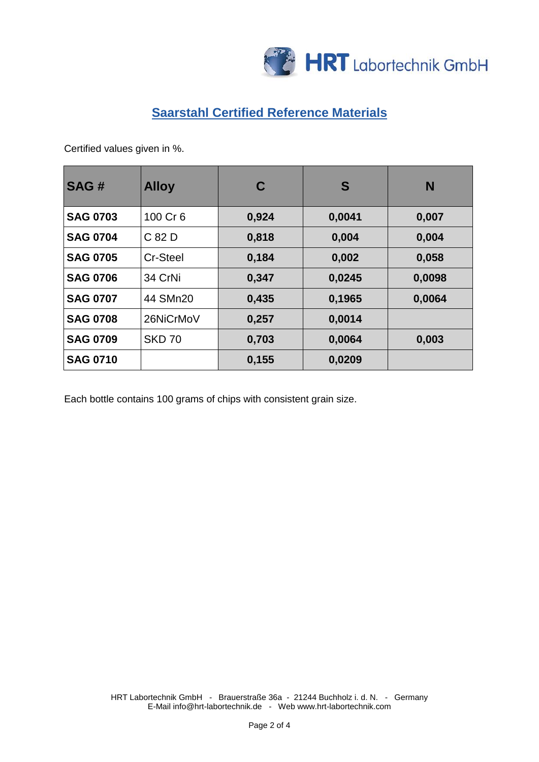

## **Saarstahl Certified Reference Materials**

Certified values given in %.

| SAG#            | <b>Alloy</b>  | C     | S      | N      |  |  |  |
|-----------------|---------------|-------|--------|--------|--|--|--|
| <b>SAG 0703</b> | 100 Cr 6      | 0,924 | 0,0041 | 0,007  |  |  |  |
| <b>SAG 0704</b> | C 82 D        | 0,818 | 0,004  | 0,004  |  |  |  |
| <b>SAG 0705</b> | Cr-Steel      | 0,184 | 0,002  | 0,058  |  |  |  |
| <b>SAG 0706</b> | 34 CrNi       | 0,347 | 0,0245 | 0,0098 |  |  |  |
| <b>SAG 0707</b> | 44 SMn20      | 0,435 | 0,1965 | 0,0064 |  |  |  |
| <b>SAG 0708</b> | 26NiCrMoV     | 0,257 | 0,0014 |        |  |  |  |
| <b>SAG 0709</b> | <b>SKD 70</b> | 0,703 | 0,0064 | 0,003  |  |  |  |
| <b>SAG 0710</b> |               | 0,155 | 0,0209 |        |  |  |  |

Each bottle contains 100 grams of chips with consistent grain size.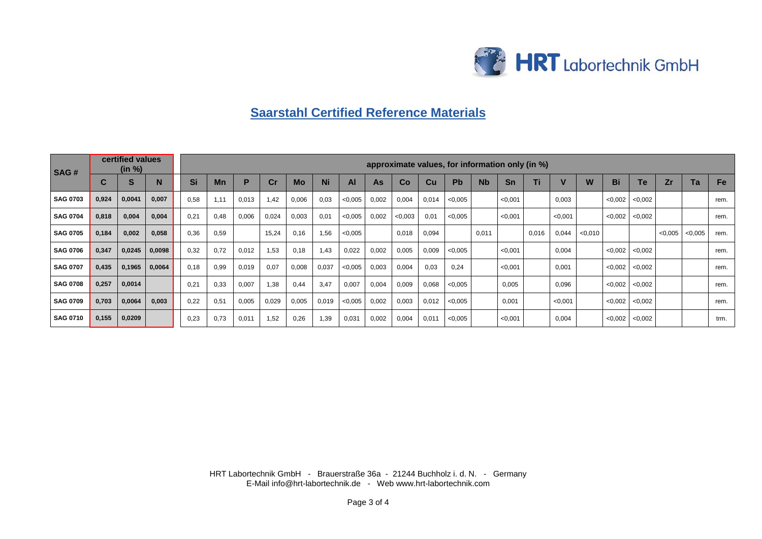

## **Saarstahl Certified Reference Materials**

| <b>SAG#</b>     |             | certified values<br>(in %) |        | approximate values, for information only (in %) |           |       |       |       |           |         |       |        |       |         |                      |         |       |         |         |         |         |         |         |           |
|-----------------|-------------|----------------------------|--------|-------------------------------------------------|-----------|-------|-------|-------|-----------|---------|-------|--------|-------|---------|----------------------|---------|-------|---------|---------|---------|---------|---------|---------|-----------|
|                 | $\sim$<br>u | S                          | N      | Si                                              | <b>Mn</b> | D     | cr    | Mo    | <b>Ni</b> | Al      | As    | Co     | Cu    | Pb      | <b>N<sub>b</sub></b> | Sn      | Ti    |         |         | Bi      | Te      | Zr      | Ta      | <b>Fe</b> |
| <b>SAG 0703</b> | 0,924       | 0,0041                     | 0,007  | 0.58                                            | 1.11      | 0,013 | 1,42  | 0,006 | 0,03      | < 0.005 | 0,002 | 0,004  | 0,014 | < 0.005 |                      | < 0.001 |       | 0,003   |         | < 0.002 | < 0,002 |         |         | rem.      |
| <b>SAG 0704</b> | 0,818       | 0,004                      | 0,004  | 0,21                                            | 0,48      | 0,006 | 0,024 | 0,003 | 0,01      | < 0.005 | 0,002 | <0.003 | 0,01  | < 0.005 |                      | < 0.001 |       | < 0.001 |         | < 0.002 | < 0.002 |         |         | rem.      |
| <b>SAG 0705</b> | 0,184       | 0,002                      | 0,058  | 0,36                                            | 0,59      |       | 15,24 | 0,16  | 1,56      | < 0.005 |       | 0,018  | 0,094 |         | 0,011                |         | 0,016 | 0,044   | < 0.010 |         |         | < 0.005 | < 0,005 | rem.      |
| <b>SAG 0706</b> | 0,347       | 0,0245                     | 0,0098 | 0,32                                            | 0,72      | 0,012 | 1,53  | 0,18  | 1,43      | 0,022   | 0,002 | 0,005  | 0,009 | < 0.005 |                      | < 0.001 |       | 0,004   |         | < 0.002 | < 0,002 |         |         | rem.      |
| <b>SAG 0707</b> | 0,435       | 0,1965                     | 0,0064 | 0.18                                            | 0,99      | 0,019 | 0,07  | 0,008 | 0,037     | < 0.005 | 0,003 | 0,004  | 0,03  | 0,24    |                      | < 0.001 |       | 0,001   |         | < 0,002 | < 0,002 |         |         | rem.      |
| <b>SAG 0708</b> | 0,257       | 0,0014                     |        | 0,21                                            | 0.33      | 0,007 | 1,38  | 0.44  | 3.47      | 0,007   | 0,004 | 0,009  | 0,068 | < 0.005 |                      | 0,005   |       | 0,096   |         | < 0.002 | < 0.002 |         |         | rem.      |
| <b>SAG 0709</b> | 0,703       | 0,0064                     | 0,003  | 0,22                                            | 0,51      | 0,005 | 0,029 | 0,005 | 0,019     | < 0,005 | 0,002 | 0,003  | 0,012 | < 0.005 |                      | 0,001   |       | < 0.001 |         | < 0.002 | < 0,002 |         |         | rem.      |
| <b>SAG 0710</b> | 0,155       | 0,0209                     |        | 0,23                                            | 0,73      | 0,011 | 1,52  | 0,26  | 1,39      | 0,031   | 0,002 | 0,004  | 0,011 | < 0,005 |                      | < 0,001 |       | 0,004   |         | < 0,002 | < 0,002 |         |         | trm.      |